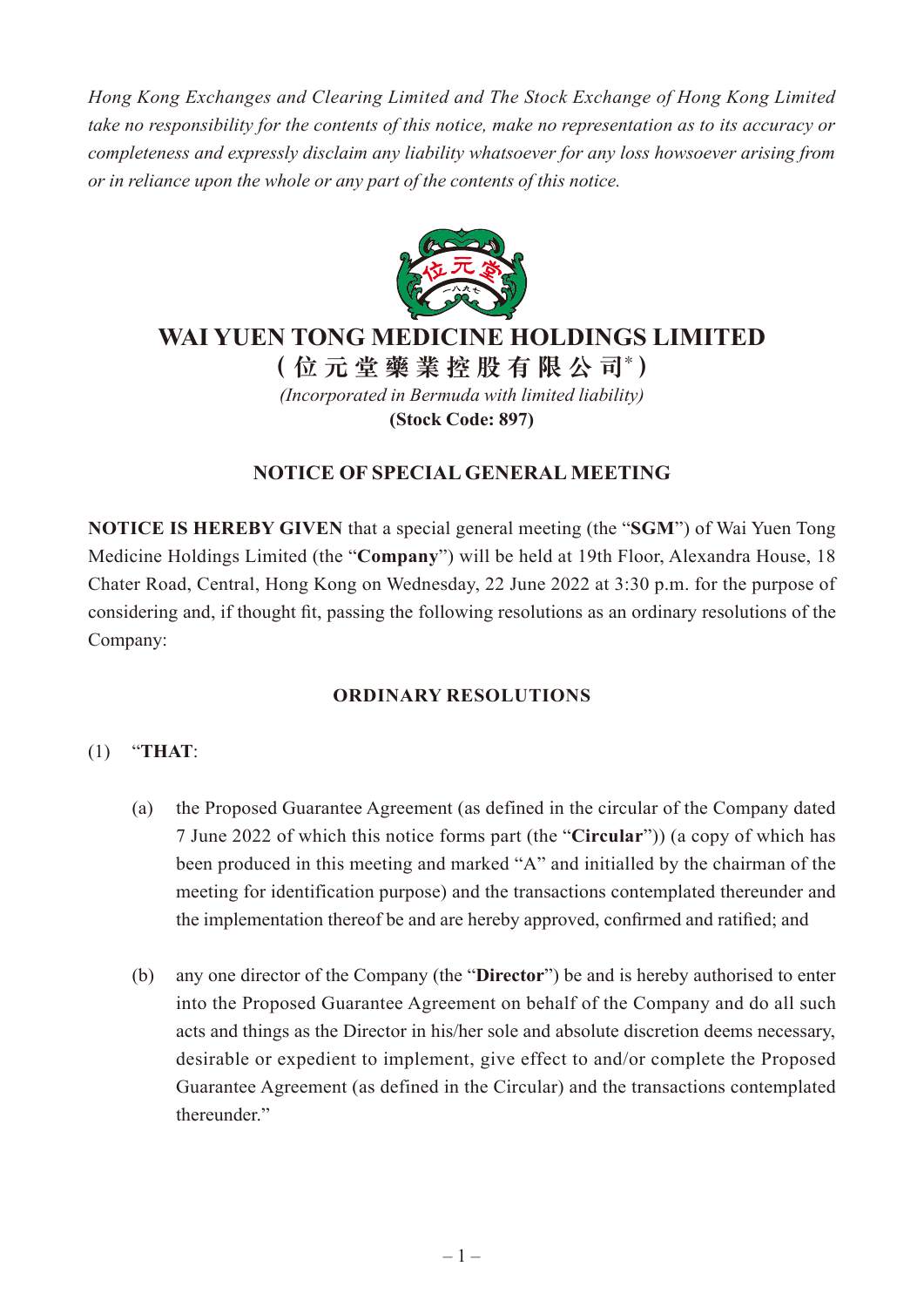*Hong Kong Exchanges and Clearing Limited and The Stock Exchange of Hong Kong Limited take no responsibility for the contents of this notice, make no representation as to its accuracy or completeness and expressly disclaim any liability whatsoever for any loss howsoever arising from or in reliance upon the whole or any part of the contents of this notice.*



## **WAI YUEN TONG MEDICINE HOLDINGS LIMITED**

**(位元堂藥業控股有限公司\* )** *(Incorporated in Bermuda with limited liability)* **(Stock Code: 897)**

### **NOTICE OF SPECIAL GENERAL MEETING**

**NOTICE IS HEREBY GIVEN** that a special general meeting (the "**SGM**") of Wai Yuen Tong Medicine Holdings Limited (the "**Company**") will be held at 19th Floor, Alexandra House, 18 Chater Road, Central, Hong Kong on Wednesday, 22 June 2022 at 3:30 p.m. for the purpose of considering and, if thought fit, passing the following resolutions as an ordinary resolutions of the Company:

### **ORDINARY RESOLUTIONS**

### (1) "**THAT**:

- (a) the Proposed Guarantee Agreement (as defined in the circular of the Company dated 7 June 2022 of which this notice forms part (the "**Circular**")) (a copy of which has been produced in this meeting and marked "A" and initialled by the chairman of the meeting for identification purpose) and the transactions contemplated thereunder and the implementation thereof be and are hereby approved, confirmed and ratified; and
- (b) any one director of the Company (the "**Director**") be and is hereby authorised to enter into the Proposed Guarantee Agreement on behalf of the Company and do all such acts and things as the Director in his/her sole and absolute discretion deems necessary, desirable or expedient to implement, give effect to and/or complete the Proposed Guarantee Agreement (as defined in the Circular) and the transactions contemplated thereunder."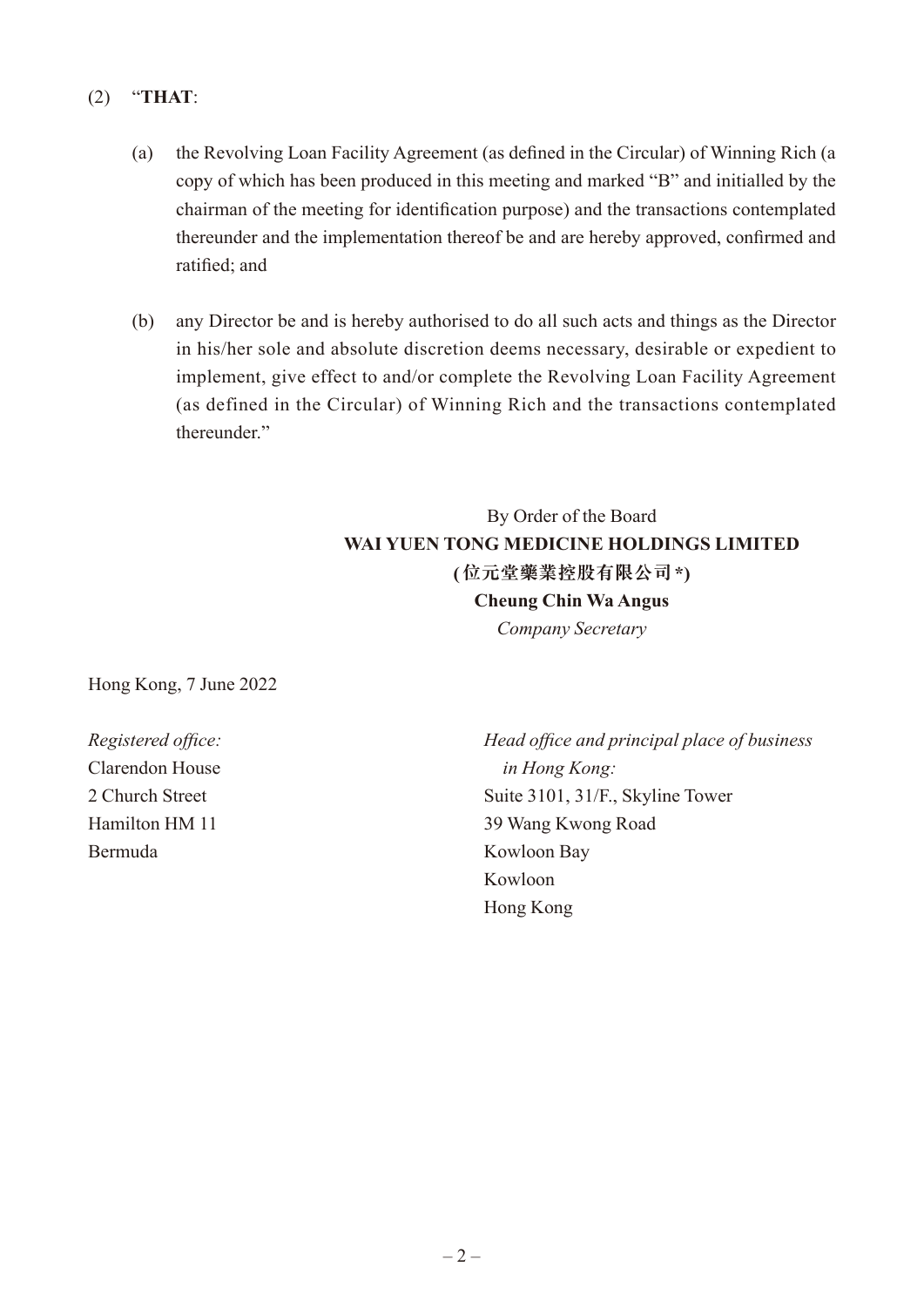### (2) "**THAT**:

- (a) the Revolving Loan Facility Agreement (as defined in the Circular) of Winning Rich (a copy of which has been produced in this meeting and marked "B" and initialled by the chairman of the meeting for identification purpose) and the transactions contemplated thereunder and the implementation thereof be and are hereby approved, confirmed and ratified; and
- (b) any Director be and is hereby authorised to do all such acts and things as the Director in his/her sole and absolute discretion deems necessary, desirable or expedient to implement, give effect to and/or complete the Revolving Loan Facility Agreement (as defined in the Circular) of Winning Rich and the transactions contemplated thereunder."

# By Order of the Board **WAI YUEN TONG MEDICINE HOLDINGS LIMITED (位元堂藥業控股有限公司\*) Cheung Chin Wa Angus** *Company Secretary*

Hong Kong, 7 June 2022

Clarendon House *in Hong Kong:* Bermuda Kowloon Bay

*Registered office: Head office and principal place of business* 2 Church Street Suite 3101, 31/F., Skyline Tower Hamilton HM 11 39 Wang Kwong Road Kowloon Hong Kong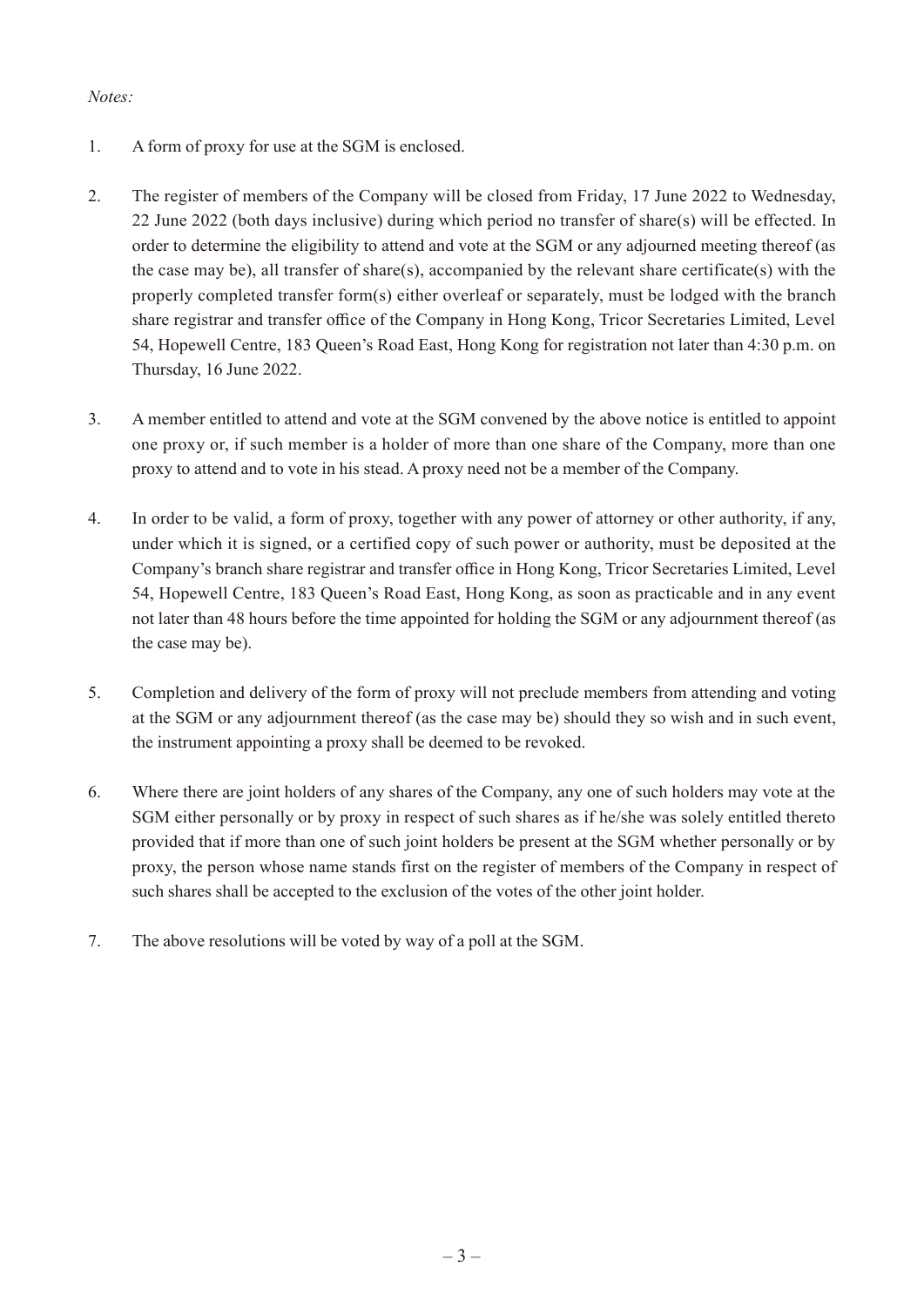#### *Notes:*

- 1. A form of proxy for use at the SGM is enclosed.
- 2. The register of members of the Company will be closed from Friday, 17 June 2022 to Wednesday, 22 June 2022 (both days inclusive) during which period no transfer of share(s) will be effected. In order to determine the eligibility to attend and vote at the SGM or any adjourned meeting thereof (as the case may be), all transfer of share(s), accompanied by the relevant share certificate(s) with the properly completed transfer form(s) either overleaf or separately, must be lodged with the branch share registrar and transfer office of the Company in Hong Kong, Tricor Secretaries Limited, Level 54, Hopewell Centre, 183 Queen's Road East, Hong Kong for registration not later than 4:30 p.m. on Thursday, 16 June 2022.
- 3. A member entitled to attend and vote at the SGM convened by the above notice is entitled to appoint one proxy or, if such member is a holder of more than one share of the Company, more than one proxy to attend and to vote in his stead. A proxy need not be a member of the Company.
- 4. In order to be valid, a form of proxy, together with any power of attorney or other authority, if any, under which it is signed, or a certified copy of such power or authority, must be deposited at the Company's branch share registrar and transfer office in Hong Kong, Tricor Secretaries Limited, Level 54, Hopewell Centre, 183 Queen's Road East, Hong Kong, as soon as practicable and in any event not later than 48 hours before the time appointed for holding the SGM or any adjournment thereof (as the case may be).
- 5. Completion and delivery of the form of proxy will not preclude members from attending and voting at the SGM or any adjournment thereof (as the case may be) should they so wish and in such event, the instrument appointing a proxy shall be deemed to be revoked.
- 6. Where there are joint holders of any shares of the Company, any one of such holders may vote at the SGM either personally or by proxy in respect of such shares as if he/she was solely entitled thereto provided that if more than one of such joint holders be present at the SGM whether personally or by proxy, the person whose name stands first on the register of members of the Company in respect of such shares shall be accepted to the exclusion of the votes of the other joint holder.
- 7. The above resolutions will be voted by way of a poll at the SGM.